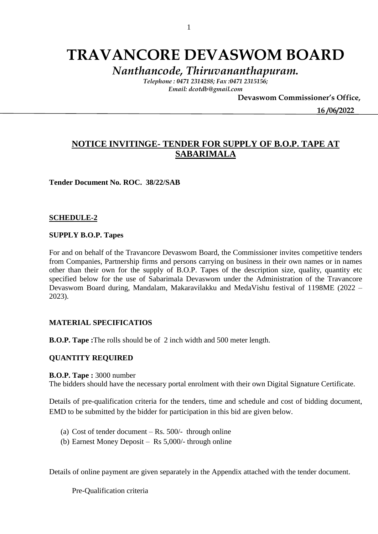# **TRAVANCORE DEVASWOM BOARD**

*Nanthancode, Thiruvananthapuram.*

*Telephone : 0471 2314288; Fax :0471 2315156; Email: dcotdb@gmail.com*

 **Devaswom Commissioner's Office,**

 **16 /06/2022**

# **NOTICE INVITINGE- TENDER FOR SUPPLY OF B.O.P. TAPE AT SABARIMALA**

**Tender Document No. ROC. 38/22/SAB** 

## **SCHEDULE-2**

#### **SUPPLY B.O.P. Tapes**

For and on behalf of the Travancore Devaswom Board, the Commissioner invites competitive tenders from Companies, Partnership firms and persons carrying on business in their own names or in names other than their own for the supply of B.O.P. Tapes of the description size, quality, quantity etc specified below for the use of Sabarimala Devaswom under the Administration of the Travancore Devaswom Board during, Mandalam, Makaravilakku and MedaVishu festival of 1198ME (2022 – 2023).

# **MATERIAL SPECIFICATIOS**

**B.O.P. Tape :**The rolls should be of 2 inch width and 500 meter length.

## **QUANTITY REQUIRED**

#### **B.O.P. Tape :** 3000 number

The bidders should have the necessary portal enrolment with their own Digital Signature Certificate.

Details of pre-qualification criteria for the tenders, time and schedule and cost of bidding document, EMD to be submitted by the bidder for participation in this bid are given below.

- (a) Cost of tender document  $-Rs. 500/-$  through online
- (b) Earnest Money Deposit Rs 5,000/- through online

Details of online payment are given separately in the Appendix attached with the tender document.

Pre-Qualification criteria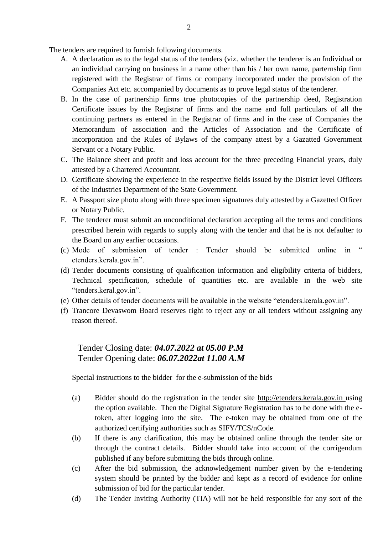The tenders are required to furnish following documents.

- A. A declaration as to the legal status of the tenders (viz. whether the tenderer is an Individual or an individual carrying on business in a name other than his / her own name, parternship firm registered with the Registrar of firms or company incorporated under the provision of the Companies Act etc. accompanied by documents as to prove legal status of the tenderer.
- B. In the case of partnership firms true photocopies of the partnership deed, Registration Certificate issues by the Registrar of firms and the name and full particulars of all the continuing partners as entered in the Registrar of firms and in the case of Companies the Memorandum of association and the Articles of Association and the Certificate of incorporation and the Rules of Bylaws of the company attest by a Gazatted Government Servant or a Notary Public.
- C. The Balance sheet and profit and loss account for the three preceding Financial years, duly attested by a Chartered Accountant.
- D. Certificate showing the experience in the respective fields issued by the District level Officers of the Industries Department of the State Government.
- E. A Passport size photo along with three specimen signatures duly attested by a Gazetted Officer or Notary Public.
- F. The tenderer must submit an unconditional declaration accepting all the terms and conditions prescribed herein with regards to supply along with the tender and that he is not defaulter to the Board on any earlier occasions.
- (c) Mode of submission of tender : Tender should be submitted online in " etenders.kerala.gov.in".
- (d) Tender documents consisting of qualification information and eligibility criteria of bidders, Technical specification, schedule of quantities etc. are available in the web site "tenders.keral.gov.in".
- (e) Other details of tender documents will be available in the website "etenders.kerala.gov.in".
- (f) Trancore Devaswom Board reserves right to reject any or all tenders without assigning any reason thereof.

# Tender Closing date: *04.07.2022 at 05.00 P.M* Tender Opening date: *06.07.2022at 11.00 A.M*

# Special instructions to the bidder for the e-submission of the bids

- (a) Bidder should do the registration in the tender site http://etenders.kerala.gov.in using the option available. Then the Digital Signature Registration has to be done with the etoken, after logging into the site. The e-token may be obtained from one of the authorized certifying authorities such as SIFY/TCS/nCode.
- (b) If there is any clarification, this may be obtained online through the tender site or through the contract details. Bidder should take into account of the corrigendum published if any before submitting the bids through online.
- (c) After the bid submission, the acknowledgement number given by the e-tendering system should be printed by the bidder and kept as a record of evidence for online submission of bid for the particular tender.
- (d) The Tender Inviting Authority (TIA) will not be held responsible for any sort of the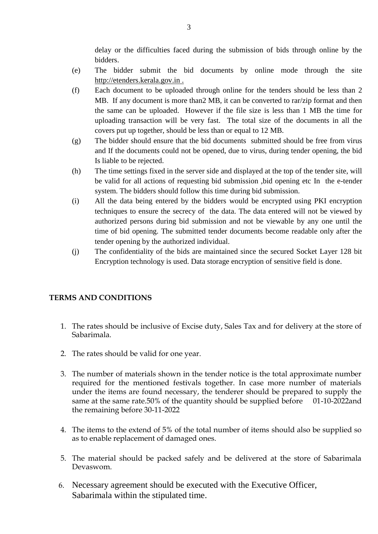delay or the difficulties faced during the submission of bids through online by the bidders.

- (e) The bidder submit the bid documents by online mode through the site http://etenders.kerala.gov.in .
- (f) Each document to be uploaded through online for the tenders should be less than 2 MB. If any document is more than2 MB, it can be converted to rar/zip format and then the same can be uploaded. However if the file size is less than 1 MB the time for uploading transaction will be very fast. The total size of the documents in all the covers put up together, should be less than or equal to 12 MB.
- (g) The bidder should ensure that the bid documents submitted should be free from virus and If the documents could not be opened, due to virus, during tender opening, the bid Is liable to be rejected.
- (h) The time settings fixed in the server side and displayed at the top of the tender site, will be valid for all actions of requesting bid submission ,bid opening etc In the e-tender system. The bidders should follow this time during bid submission.
- (i) All the data being entered by the bidders would be encrypted using PKI encryption techniques to ensure the secrecy of the data. The data entered will not be viewed by authorized persons during bid submission and not be viewable by any one until the time of bid opening. The submitted tender documents become readable only after the tender opening by the authorized individual.
- (j) The confidentiality of the bids are maintained since the secured Socket Layer 128 bit Encryption technology is used. Data storage encryption of sensitive field is done.

# **TERMS AND CONDITIONS**

- 1. The rates should be inclusive of Excise duty, Sales Tax and for delivery at the store of Sabarimala.
- 2. The rates should be valid for one year.
- 3. The number of materials shown in the tender notice is the total approximate number required for the mentioned festivals together. In case more number of materials under the items are found necessary, the tenderer should be prepared to supply the same at the same rate.50% of the quantity should be supplied before 01-10-2022and the remaining before 30-11-2022
- 4. The items to the extend of 5% of the total number of items should also be supplied so as to enable replacement of damaged ones.
- 5. The material should be packed safely and be delivered at the store of Sabarimala Devaswom.
- 6. Necessary agreement should be executed with the Executive Officer, Sabarimala within the stipulated time.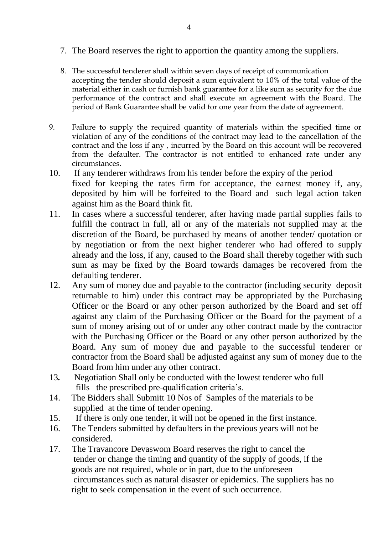- 7. The Board reserves the right to apportion the quantity among the suppliers.
- 8. The successful tenderer shall within seven days of receipt of communication accepting the tender should deposit a sum equivalent to 10% of the total value of the material either in cash or furnish bank guarantee for a like sum as security for the due performance of the contract and shall execute an agreement with the Board. The period of Bank Guarantee shall be valid for one year from the date of agreement.
- 9. Failure to supply the required quantity of materials within the specified time or violation of any of the conditions of the contract may lead to the cancellation of the contract and the loss if any , incurred by the Board on this account will be recovered from the defaulter. The contractor is not entitled to enhanced rate under any circumstances.
- 10. If any tenderer withdraws from his tender before the expiry of the period fixed for keeping the rates firm for acceptance, the earnest money if, any, deposited by him will be forfeited to the Board and such legal action taken against him as the Board think fit.
- 11. In cases where a successful tenderer, after having made partial supplies fails to fulfill the contract in full, all or any of the materials not supplied may at the discretion of the Board, be purchased by means of another tender/ quotation or by negotiation or from the next higher tenderer who had offered to supply already and the loss, if any, caused to the Board shall thereby together with such sum as may be fixed by the Board towards damages be recovered from the defaulting tenderer.
- 12. Any sum of money due and payable to the contractor (including security deposit returnable to him) under this contract may be appropriated by the Purchasing Officer or the Board or any other person authorized by the Board and set off against any claim of the Purchasing Officer or the Board for the payment of a sum of money arising out of or under any other contract made by the contractor with the Purchasing Officer or the Board or any other person authorized by the Board. Any sum of money due and payable to the successful tenderer or contractor from the Board shall be adjusted against any sum of money due to the Board from him under any other contract.
- 13*.* Negotiation Shall only be conducted with the lowest tenderer who full fills the prescribed pre-qualification criteria's.
- 14. The Bidders shall Submitt 10 Nos of Samples of the materials to be supplied at the time of tender opening.
- 15. If there is only one tender, it will not be opened in the first instance.
- 16. The Tenders submitted by defaulters in the previous years will not be considered.
- 17. The Travancore Devaswom Board reserves the right to cancel the tender or change the timing and quantity of the supply of goods, if the goods are not required, whole or in part, due to the unforeseen circumstances such as natural disaster or epidemics. The suppliers has no right to seek compensation in the event of such occurrence.